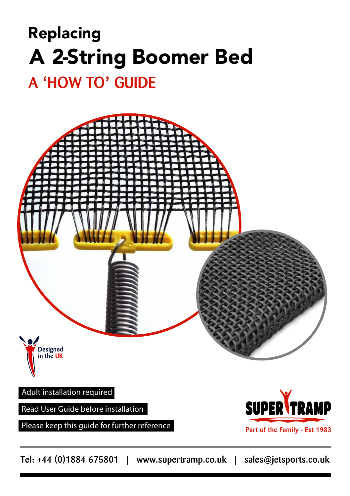# Replacing A 2-String Boomer Bed

## A **'**HOW TO**'** GUIDE



Please keep this guide for further reference



Part of the Family - Est 1983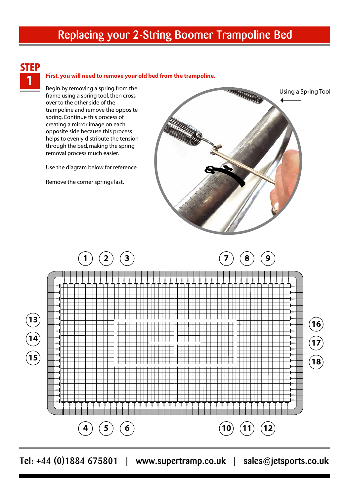### Replacing your 2-String Boomer Trampoline Bed



#### 1 **First, you will need to remove your old bed from the trampoline.**

Begin by removing a spring from the frame using a spring tool, then cross over to the other side of the trampoline and remove the opposite spring. Continue this process of creating a mirror image on each opposite side because this process helps to evenly distribute the tension through the bed, making the spring removal process much easier.

Use the diagram below for reference.

Remove the corner springs last.



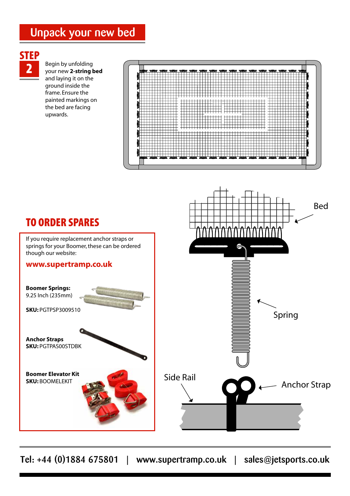## Unpack your new bed

# **STEP**

2 Begin by unfolding your new **2-string bed** and laying it on the ground inside the frame. Ensure the painted markings on the bed are facing upwards.